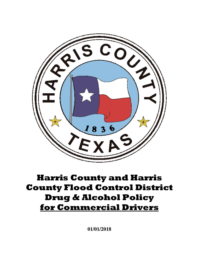

# **Harris County and Harris County Flood Control District Drug & Alcohol Policy for Commercial Drivers**

**01/01/2018**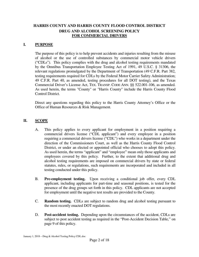#### **HARRIS COUNTY AND HARRIS COUNTY FLOOD CONTROL DISTRICT DRUG AND ALCOHOL SCREENING POLICY FOR COMMERCIAL DRIVERS**

#### **I. PURPOSE**

 The purpose of this policy is to help prevent accidents and injuries resulting from the misuse of alcohol or the use of controlled substances by commercial motor vehicle drivers ("CDLs"). This policy complies with the drug and alcohol testing requirements mandated by the Omnibus Transportation Employee Testing Act of 1991, 49 U.S.C. § 31306, the relevant regulations promulgated by the Department of Transportation (49 C.F.R. Part 382, testing requirements required for CDLs by the Federal Motor Carrier Safety Administration; 49 C.F.R. Part 40, as amended, testing procedures for all DOT testing), and the Texas Commercial Driver's License Act, TEX. TRANSP. CODE ANN. §§ 522.001-106, as amended. As used herein, the terms "County" or "Harris County" include the Harris County Flood Control District.

Direct any questions regarding this policy to the Harris County Attorney's Office or the Office of Human Resources & Risk Management.

#### **II. SCOPE**

- A. This policy applies to every applicant for employment in a position requiring a commercial drivers license ("CDL applicant") and every employee in a position requiring a commercial drivers license ("CDL") who works in a department under the direction of the Commissioners Court, as well as the Harris County Flood Control District, or under an elected or appointed official who chooses to adopt this policy. As used herein, the terms "applicant" and "employee" mean only those applicants and employees covered by this policy. Further, to the extent that additional drug and alcohol testing requirements are imposed on commercial drivers by state or federal statutes, rules, or regulations, such requirements are incorporated and included in all testing conducted under this policy.
- B. **Pre-employment testing.** Upon receiving a conditional job offer, every CDL applicant, including applicants for part-time and seasonal positions, is tested for the presence of the drug groups set forth in this policy. CDL applicants are not accepted for employment until the negative test results are provided to the County.
- C. **Random testing.** CDLs are subject to random drug and alcohol testing pursuant to the most recently enacted DOT regulations.
- D. **Post-accident testing.** Depending upon the circumstances of the accident, CDLs are subject to post accident testing as required in the "Post-Accident Decision Table," on page 9 of this policy.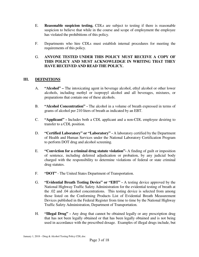- E. **Reasonable suspicion testing.** CDLs are subject to testing if there is reasonable suspicion to believe that while in the course and scope of employment the employee has violated the prohibitions of this policy.
- F. Departments who hire CDLs must establish internal procedures for meeting the requirements of this policy.

#### G. **ANYONE TESTED UNDER THIS POLICY MUST RECEIVE A COPY OF THIS POLICY AND MUST ACKNOWLEDGE IN WRITING THAT THEY HAVE RECEIVED AND READ THE POLICY.**

#### **III. DEFINITIONS**

- A. **"Alcohol" –** The intoxicating agent in beverage alcohol, ethyl alcohol or other lower alcohols, including methyl or isopropyl alcohol and all beverages, mixtures, or preparations that contain one of these alcohols.
- B. **"Alcohol Concentration" -** The alcohol in a volume of breath expressed in terms of grams of alcohol per 210 liters of breath as indicated by an EBT.
- C. **"Applicant" -** Includes both a CDL applicant and a non-CDL employee desiring to transfer to a CDL position.
- D. **"Certified Laboratory" or "Laboratory" -** A laboratory certified by the Department of Health and Human Services under the National Laboratory Certification Program to perform DOT drug and alcohol screening.
- E. **"Conviction for a criminal drug statute violation"-** A finding of guilt or imposition of sentence, including deferred adjudication or probation, by any judicial body charged with the responsibility to determine violations of federal or state criminal drug statutes.
- F. **"DOT"**  The United States Department of Transportation.
- G. **"Evidential Breath Testing Device" or "EBT"** A testing device approved by the National Highway Traffic Safety Administration for the evidential testing of breath at the .02 and .04 alcohol concentrations. This testing device is selected from among those listed on the Conforming Products List of Evidential Breath Measurement Devices published in the Federal Register from time to time by the National Highway Traffic Safety Administration, Department of Transportation.
- H. **"Illegal Drug" -** Any drug that cannot be obtained legally or any prescription drug that has not been legally obtained or that has been legally obtained and is not being used in accordance with the prescribed dosage. Examples of illegal drugs include, but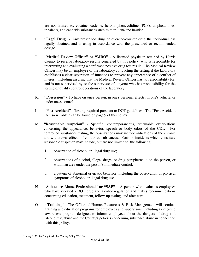are not limited to, cocaine, codeine, heroin, phencyclidine (PCP), amphetamines, inhalants, and cannabis substances such as marijuana and hashish.

- I. **"Legal Drug" -** Any prescribed drug or over-the-counter drug the individual has legally obtained and is using in accordance with the prescribed or recommended dosage.
- J. **"Medical Review Officer" or "MRO" -** A licensed physician retained by Harris County to receive laboratory results generated by this policy, who is responsible for interpreting and evaluating a confirmed positive drug test result. The Medical Review Officer may be an employee of the laboratory conducting the testing if the laboratory establishes a clear separation of functions to prevent any appearance of a conflict of interest, including assuring that the Medical Review Officer has no responsibility for, and is not supervised by or the supervisor of, anyone who has responsibility for the testing or quality control operations of the laboratory.
- K. **"Possession" -** To have on one's person, in one's personal effects, in one's vehicle, or under one's control.
- L. **"Post-Accident"** Testing required pursuant to DOT guidelines. The "Post-Accident Decision Table," can be found on page 9 of this policy.
- M. **"Reasonable suspicion"** Specific, contemporaneous, articulable observations concerning the appearance, behavior, speech or body odors of the CDL. For controlled substances testing, the observations may include indications of the chronic and withdrawal effects of controlled substances. Facts or incidents which constitute reasonable suspicion may include, but are not limited to, the following:
	- 1. observation of alcohol or illegal drug use;
	- 2. observations of alcohol, illegal drugs, or drug paraphernalia on the person, or within an area under the person's immediate control;
	- 3. a pattern of abnormal or erratic behavior, including the observation of physical symptoms of alcohol or illegal drug use.
- N. **"Substance Abuse Professional" or "SAP"** A person who evaluates employees who have violated a DOT drug and alcohol regulation and makes recommendations concerning education, treatment, follow-up testing, and after care.
- O. **"Training"** The Office of Human Resources & Risk Management will conduct training and education programs for employees and supervisors, including a drug-free awareness program designed to inform employees about the dangers of drug and alcohol use/abuse and the County's policies concerning substance abuse in connection with this policy.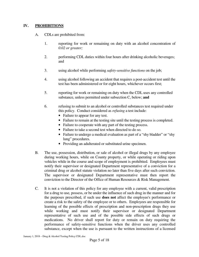#### **IV. PROHIBITIONS**

- A. CDLs are prohibited from:
	- 1. reporting for work or remaining on duty with an alcohol concentration of *0.02 or greater;*
	- 2. performing CDL duties within four hours after drinking alcoholic beverages; and
	- 3. using alcohol while performing *safety-sensitive functions* on the job;
	- 4. using alcohol following an accident that requires a post-accident test until the test has been administered or for eight hours, whichever occurs first;
	- 5. reporting for work or remaining on duty when the CDL uses any controlled substance, unless permitted under subsection C, below; **and**
	- 6. refusing to submit to an alcohol or controlled substances test required under this policy. Conduct considered as *refusing* a test include:
		- Failure to appear for any test.
		- Failure to remain at the testing site until the testing process is completed.
		- Failure to cooperate with any part of the testing process.
		- Failure to take a second test when directed to do so.
		- Failure to undergo a medical evaluation as part of a "shy bladder" or "shy" lung" procedures.
		- Providing an adulterated or substituted urine specimen.
- B. The use, possession, distribution, or sale of alcohol or illegal drugs by any employee during working hours, while on County property, or while operating or riding upon vehicles while in the course and scope of employment is prohibited. Employees must notify their supervisor or designated Department representative of a conviction for a criminal drug or alcohol statute violation no later than five days after such conviction. The supervisor or designated Department representative must then report the conviction to the Director of the Office of Human Resources & Risk Management.
- C. It is not a violation of this policy for any employee with a current, valid prescription for a drug to use, possess, or be under the influence of such drug in the manner and for the purposes prescribed, if such use **does not** affect the employee's performance or create a risk to the safety of the employee or to others. Employees are responsible for learning of the possible effects of prescription and non-prescription drugs they use while working and must notify their supervisor or designated Department representative of such use and of the possible side effects of such drugs or medications. No driver shall report for duty or remain on duty requiring the performance of safety-sensitive functions when the driver uses any controlled substance, except when the use is pursuant to the written instructions of a licensed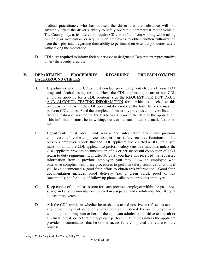medical practitioner, who has advised the driver that the substance will not adversely affect the driver's ability to safely operate a commercial motor vehicle. The County may, at its discretion, require CDLs to refrain from working while taking *any* drug or medication, or require such employees to obtain written authorization from their physician regarding their ability to perform their essential job duties safely while taking the medication.

D. CDLs are required to inform their supervisor or designated Department representative of any therapeutic drug use.

#### **V. DEPARTMENT PROCEDURES REGARDING PRE-EMPLOYMENT BACKGROUND CHECKS**

- A. Departments who hire CDLs must conduct pre-employment checks of prior DOT drug and alcohol testing results. Have the CDL applicant (or current non-CDL employee applying for a CDL position) sign the REQUEST FOR DOT DRUG AND ALCOHOL TESTING INFORMATION form, which is attached to this policy as Exhibit A. If the CDL applicant does not sign the form, he or she may not perform CDL duties. Send the completed form to any previous employers listed on the application or resume for the **three** years prior to the date of the application. This information must be in writing, but can be transmitted via mail, fax, or email.
- B. Departments must obtain and review the information from any previous employers before the employee first performs safety-sensitive functions. If a previous employer reports that the CDL applicant had violated a DOT drug, you must not allow the CDL applicant to perform safety-sensitive functions unless the CDL applicant provides documentation of his or her successful completion of DOT return-to-duty requirements. If after 30 days, you have not received the requested information from a previous employer, you may allow an employee who otherwise complies with these procedures to perform safety-sensitive functions if you have documented a good faith effort to obtain this information. Good faith documentation includes proof delivery (i.e. a green card), proof of fax transmittals, and/or a log of follow-up phone calls to the previous employer.
- C. Keep copies of the releases (one for each previous employer within the past three years) and any documentation received in a separate and confidential file. Keep it at least three years.
- D. Ask the CDL applicant whether he or she has tested positive or refused to test on any pre-employment drug or alcohol test administered by an employer who wound up not hiring him or her. If the applicant admits to a positive test result or a refusal to test, do not let the applicant perform CDL duties unless the applicant provides documentation that he or she successfully completed the return-to-duty process.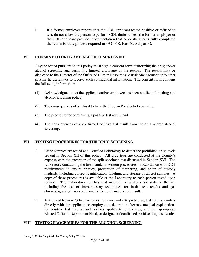E. If a former employer reports that the CDL applicant tested positive or refused to test, do not allow the person to perform CDL duties unless the former employer or the CDL applicant provides documentation that he or she successfully completed the return-to-duty process required in 49 C.F.R. Part 40, Subpart O.

# **VI. CONSENT TO DRUG AND ALCOHOL SCREENING**

 Anyone tested pursuant to this policy must sign a consent form authorizing the drug and/or alcohol screening and permitting limited disclosure of the results. The results may be disclosed to the Director of the Office of Human Resources & Risk Management or to other persons he designates to receive such confidential information. The consent form contains the following information:

- (1) Acknowledgment that the applicant and/or employee has been notified of the drug and alcohol screening policy;
- (2) The consequences of a refusal to have the drug and/or alcohol screening;
- (3) The procedure for confirming a positive test result; and
- (4) The consequences of a confirmed positive test result from the drug and/or alcohol screening.

# **VII. TESTING PROCEDURES FOR THE DRUG SCREENING**

- A. Urine samples are tested at a Certified Laboratory to detect the prohibited drug levels set out in Section XII of this policy. All drug tests are conducted at the County's expense with the exception of the split specimen test discussed in Section XVI. The Laboratory conducting the test maintains written procedures in accordance with DOT requirements to ensure privacy, prevention of tampering, and chain of custody methods, including correct identification, labeling, and storage of all test samples. A copy of these procedures is available at the Laboratory to each person tested upon request. The Laboratory certifies that methods of analysis are state of the art, including the use of immunoassay techniques for initial test results and gas chromatography/mass spectrometry for confirmatory test results.
- B. A Medical Review Officer receives, reviews, and interprets drug test results; confers directly with the applicant or employee to determine alternate medical explanations for positive test results; and notifies applicants, employees, and the appropriate Elected Official, Department Head, or designee of confirmed positive drug test results.

# **VIII. TESTING PROCEDURES FOR THE ALCOHOL SCREENING**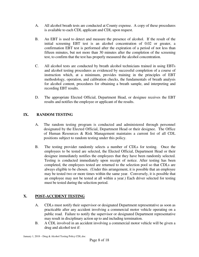- A. All alcohol breath tests are conducted at County expense. A copy of these procedures is available to each CDL applicant and CDL upon request.
- B. An EBT is used to detect and measure the presence of alcohol. If the result of the initial screening EBT test is an alcohol concentration of 0.02 or greater, a confirmation EBT test is performed after the expiration of a period of not less than fifteen minutes, but not more than 30 minutes after the completion of the screening test, to confirm that the test has properly measured the alcohol concentration.
- C. All alcohol tests are conducted by breath alcohol technicians trained in using EBTs and alcohol testing procedures as evidenced by successful completion of a course of instruction which, at a minimum, provides training in the principles of EBT methodology, operation, and calibration checks, the fundamentals of breath analysis for alcohol content, procedures for obtaining a breath sample, and interpreting and recording EBT results.
- D. The appropriate Elected Official, Department Head, or designee receives the EBT results and notifies the employee or applicant of the results.

# **IX. RANDOM TESTING**

- A. The random testing program is conducted and administered through personnel designated by the Elected Official, Department Head or their designee. The Office of Human Resources & Risk Management maintains a current list of all CDL positions subject to random testing under this policy.
- B. The testing provider randomly selects a number of CDLs for testing. Once the employees to be tested are selected, the Elected Official, Department Head or their designee immediately notifies the employees that they have been randomly selected. Testing is conducted immediately upon receipt of notice. After testing has been completed, the employees tested are returned to the selection pool so that CDLs are always eligible to be chosen. (Under this arrangement, it is possible that an employee may be tested two or more times within the same year. Conversely, it is possible that an employee may not be tested at all within a year.) Each driver selected for testing must be tested during the selection period.

# **X. POST-ACCIDENT TESTING**

- A. CDLs must notify their supervisor or designated Department representative as soon as practicable after any accident involving a commercial motor vehicle operating on a public road. Failure to notify the supervisor or designated Department representative may result in disciplinary action up to and including termination.
- B. A CDL involved in an accident involving a commercial motor vehicle will be given a drug and alcohol test if: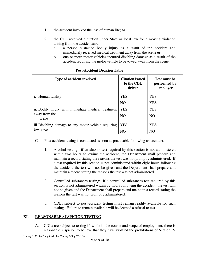- 1. the accident involved the loss of human life; **or**
- 2. the CDL received a citation under State or local law for a moving violation arising from the accident **and**
	- a. a person sustained bodily injury as a result of the accident and immediately received medical treatment away from the scene **or**
	- b. one or more motor vehicles incurred disabling damage as a result of the accident requiring the motor vehicle to be towed away from the scene.

| Type of accident involved                            | <b>Citation issued</b><br>to the CDL<br>driver | <b>Test must be</b><br>performed by<br>employer |
|------------------------------------------------------|------------------------------------------------|-------------------------------------------------|
| <i>i.</i> Human fatality                             | <b>YES</b>                                     | <b>YES</b>                                      |
|                                                      | N <sub>O</sub>                                 | <b>YES</b>                                      |
| ii. Bodily injury with immediate medical treatment   | <b>YES</b>                                     | <b>YES</b>                                      |
| away from the<br>scene                               | N <sub>O</sub>                                 | N <sub>O</sub>                                  |
| iii. Disabling damage to any motor vehicle requiring | <b>YES</b>                                     | <b>YES</b>                                      |
| tow away                                             | N <sub>O</sub>                                 | N <sub>O</sub>                                  |

#### **Post-Accident Decision Table**

- C. Post-accident testing is conducted as soon as practicable following an accident.
	- 1. Alcohol testing: if an alcohol test required by this section is not administered within two hours following the accident, the Department shall prepare and maintain a record stating the reasons the test was not promptly administered. If a test required by this section is not administered within eight hours following the accident, the test will not be given and the Department shall prepare and maintain a record stating the reasons the test was not administered.
	- 2. Controlled substances testing: if a controlled substances test required by this section is not administered within 32 hours following the accident, the test will not be given and the Department shall prepare and maintain a record stating the reasons the test was not promptly administered.
	- 3. CDLs subject to post-accident testing must remain readily available for such testing. Failure to remain available will be deemed a refusal to test.

#### **XI** . **REASONABLE SUSPICION TESTING**

A. CDLs are subject to testing if, while in the course and scope of employment, there is reasonable suspicion to believe that they have violated the prohibitions of Section IV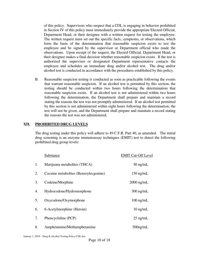of this policy. Supervisors who suspect that a CDL is engaging in behavior prohibited in Section IV of this policy must immediately provide the appropriate Elected Official, Department Head, or their designee with a written request for testing the employee. The written request must set out the specific facts, symptoms, or observations, which form the basis of the determination that reasonable suspicion exists to test the employee and be signed by the supervisor or Department official who made the observations. Upon receipt of the request, the Elected Official, Department Head, or their designee makes a final decision whether reasonable suspicion exists. If the test is authorized the supervisor or designated Department representative contacts the employee and schedules an immediate drug and/or alcohol test. The drug and/or alcohol test is conducted in accordance with the procedures established by this policy.

B. Reasonable suspicion testing is conducted as soon as practicable following the events that warrant reasonable suspicion. If an alcohol test is permitted by this section, the testing should be conducted within two hours following the determination that reasonable suspicion exists. If an alcohol test is not administered within two hours following the determination, the Department shall prepare and maintain a record stating the reasons the test was not promptly administered. If an alcohol test permitted by this section is not administered within eight hours following the determination, the test will not be given, and the Department shall prepare and maintain a record stating the reasons the test was not administered.

#### **XII. PROHIBITED DRUG LEVELS**

 The drug testing under this policy will adhere to 49 C.F.R. Part 40, as amended. The initial drug screening is an enzyme immunoassay techniques (EMIT) test to detect the following prohibited drug group levels:

|    | Substance                             | <b>EMIT Cut-Off Level</b> |
|----|---------------------------------------|---------------------------|
| 1. | Marijuana metabolites (THCA)          | $50$ ng/mL                |
| 2. | Cocaine metabolites (Benzoylecgonine) | $150$ ng/mL               |
| 3. | Codeine/Morphine                      | $2000$ ng/mL              |
| 4. | Hydrocodone/Hydromorphone             | $300$ ng/mL               |
| 5. | Oxycodone/Oxymorphone                 | $100 \text{ ng/mL}$       |
| 6. | 6-Acetylmorphine (Heroin)             | $10$ ng/mL                |
| 7. | Phencyclidine (PCP)                   | $25$ ng/mL                |
| 8. | Amphetamine/Methamphetamine           | $500$ ng/mL               |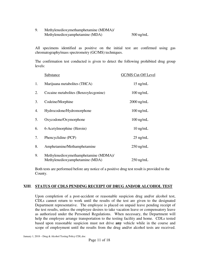9. Methylenedioxymethamphetamine (MDMA)/ Methylenedioxyamphetamine (MDA) 500 ng/mL

All specimens identified as positive on the initial test are confirmed using gas chromatography/mass spectrometry (GC/MS) techniques.

The confirmation test conducted is given to detect the following prohibited drug group levels:

|    | Substance                                                                | GC/MS Cut-Off Level |
|----|--------------------------------------------------------------------------|---------------------|
| 1. | Marijuana metabolites (THCA)                                             | $15$ ng/mL          |
| 2. | Cocaine metabolites (Benzoylecgonine)                                    | $100 \text{ ng/mL}$ |
| 3. | Codeine/Morphine                                                         | 2000 ng/mL          |
| 4. | Hydrocodone/Hydromorphone                                                | $100$ ng/mL         |
| 5. | Oxycodone/Oxymorphone                                                    | $100$ ng/mL         |
| 6. | 6-Acetylmorphine (Heroin)                                                | $10$ ng/mL          |
| 7. | Phencyclidine (PCP)                                                      | $25$ ng/mL          |
| 8. | Amphetamine/Methamphetamine                                              | $250$ ng/mL         |
| 9. | Methylenedioxymethamphetamine (MDMA)/<br>Methylenedioxyamphetamine (MDA) | $250 \text{ ng/mL}$ |

 Both tests are performed before any notice of a positive drug test result is provided to the County.

#### **XIII**. **STATUS OF CDLS PENDING RECEIPT OF DRUG AND/OR ALCOHOL TEST**

Upon completion of a post-accident or reasonable suspicion drug and/or alcohol test, CDLs cannot return to work until the results of the test are given to the designated Department representative. The employee is placed on unpaid leave pending receipt of the test results, unless the employee desires to take vacation leave or compensatory leave as authorized under the Personnel Regulations. When necessary, the Department will help the employee arrange transportation to the testing facility and home. CDLs tested based upon reasonable suspicion must not drive **any** vehicle while in the course and scope of employment until the results from the drug and/or alcohol tests are received.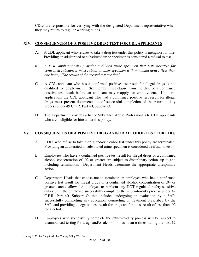CDLs are responsible for verifying with the designated Department representative when they may return to regular working duties.

# **XIV. CONSEQUENCES OF A POSITIVE DRUG TEST FOR CDL APPLICANTS**

- A. A CDL applicant who refuses to take a drug test under this policy is ineligible for hire. Providing an adulterated or substituted urine specimen is considered a refusal to test.
- *B. A CDL applicant who provides a diluted urine specimen that tests negative for controlled substances must submit another specimen with minimum notice (less than one hour). The results of the second test are final.*
- C. A CDL applicant who has a confirmed positive test result for illegal drugs is not qualified for employment. Six months must elapse from the date of a confirmed positive test result before an applicant may reapply for employment. Upon reapplication, the CDL applicant who had a confirmed positive test result for illegal drugs must present documentation of successful completion of the return-to-duty process under 49 C.F.R. Part 40, Subpart O.
- D. The Department provides a list of Substance Abuse Professionals to CDL applicants who are ineligible for hire under this policy.

# **XV. CONSEQUENCES OF A POSITIVE DRUG AND/OR ALCOHOL TEST FOR CDLS**

- A. CDLs who refuse to take a drug and/or alcohol test under this policy are terminated. Providing an adulterated or substituted urine specimen is considered a refusal to test.
- B. Employees who have a confirmed positive test result for illegal drugs or a confirmed alcohol concentration of .02 or greater are subject to disciplinary action, up to and including termination. Department Heads determine the appropriate disciplinary action.
- C. Department Heads that choose not to terminate an employee who has a confirmed positive test result for illegal drugs or a confirmed alcohol concentration of .04 or greater cannot allow the employee to perform any DOT regulated safety-sensitive duties until the employee successfully completes the return-to-duty process under 49 C.F.R. Part 40, Subpart O, that includes undergoing an evaluation by a SAP, successfully completing any education, counseling or treatment prescribed by the SAP, and providing a negative test result for drugs and/or a test result of less than .02 for alcohol.
- D. Employees who successfully complete the return-to-duty process will be subject to unannounced testing for drugs and/or alcohol no less than 6 times during the first 12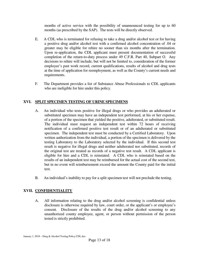months of active service with the possibility of unannounced testing for up to 60 months (as prescribed by the SAP). The tests will be directly observed.

- E. A CDL who is terminated for refusing to take a drug and/or alcohol test or for having a positive drug and/or alcohol test with a confirmed alcohol concentration of .04 or greater may be eligible for rehire no sooner than six months after the termination. Upon re-application, the CDL applicant must present documentation of successful completion of the return-to-duty process under 49 C.F.R. Part 40, Subpart O. Any decisions to rehire will include, but will not be limited to, consideration of the former employee's past work record, current qualifications, results of alcohol and drug tests at the time of application for reemployment, as well as the County's current needs and requirements.
- F. The Department provides a list of Substance Abuse Professionals to CDL applicants who are ineligible for hire under this policy.

# **XVI. SPLIT SPECIMEN TESTING OF URINE SPECIMENS**

- A. An individual who tests positive for illegal drugs or who provides an adulterated or substituted specimen may have an independent test performed, at his or her expense, of a portion of the specimen that yielded the positive, adulterated, or substituted result. The individual must request an independent test within 72 hours of receiving notification of a confirmed positive test result or of an adulterated or substituted specimen. The independent test must be conducted by a Certified Laboratory. Upon written authorization from the individual, a portion of the specimen is delivered by the testing Laboratory to the Laboratory selected by the individual. If this second test result is negative for illegal drugs and neither adulterated nor substituted, records of the original test are treated as records of a negative test result. A CDL applicant is eligible for hire and a CDL is reinstated. A CDL who is reinstated based on the results of an independent test may be reimbursed for the actual cost of the second test, but in no event will reimbursement exceed the amount the County paid for the initial test.
- B. An individual's inability to pay for a split specimen test will not preclude the testing.

# **XVII. CONFIDENTIALITY**

 A. All information relating to the drug and/or alcohol screening is confidential unless disclosure is otherwise required by law, court order, or the applicant's or employee's consent. Disclosure of the results of the drug and/or alcohol screening to any unauthorized county employee, agent, or person without permission of the person tested is strictly prohibited.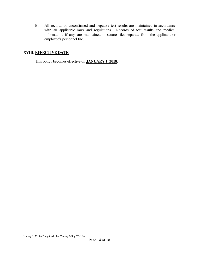B. All records of unconfirmed and negative test results are maintained in accordance with all applicable laws and regulations. Records of test results and medical information, if any, are maintained in secure files separate from the applicant or employee's personnel file.

### **XVIII. EFFECTIVE DATE**

This policy becomes effective on **JANUARY 1, 2018**.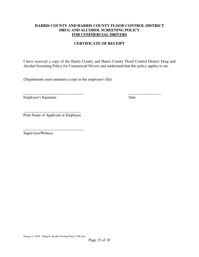#### **HARRIS COUNTY AND HARRIS COUNTY FLOOD CONTROL DISTRICT DRUG AND ALCOHOL SCREENING POLICY FOR COMMERCIAL DRIVERS**

#### **CERTIFICATE OF RECEIPT**

I have received a copy of the Harris County and Harris County Flood Control District Drug and Alcohol Screening Policy for Commercial Drivers and understand that this policy applies to me.

(Departments must maintain a copy in the employee's file)

\_\_\_\_\_\_\_\_\_\_\_\_\_\_\_\_\_\_\_\_\_\_\_\_\_\_\_\_\_\_\_\_ \_\_\_\_\_\_\_\_\_\_\_\_\_\_\_\_\_ Employee's Signature Date

\_\_\_\_\_\_\_\_\_\_\_\_\_\_\_\_\_\_\_\_\_\_\_\_\_\_\_\_\_\_ Print Name of Applicant or Employee

\_\_\_\_\_\_\_\_\_\_\_\_\_\_\_\_\_\_\_\_\_\_\_\_\_\_\_\_\_\_\_\_ Supervisor/Witness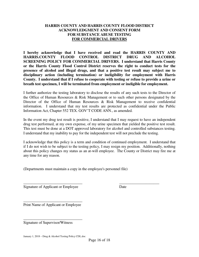#### **HARRIS COUNTY AND HARRIS COUNTY FLOOD DISTRICT ACKNOWLEDGMENT AND CONSENT FORM FOR SUBSTANCE ABUSE TESTING FOR COMMERCIAL DRIVERS**

**I hereby acknowledge that I have received and read the HARRIS COUNTY AND HARRIS.COUNTY FLOOD CONTROL DISTRICT DRUG AND ALCOHOL SCREENING POLICY FOR COMMERCIAL DRIVERS. I understand that Harris County or the Harris County Flood Control District reserves the right to conduct tests for the presence of alcohol and illegal drugs, and that a positive test result may subject me to disciplinary action (including termination) or ineligibility for employment with Harris County. I understand that if I refuse to cooperate with testing or refuse to provide a urine or breath test specimen, I will be terminated from employment or ineligible for employment.** 

I further authorize the testing laboratory to disclose the results of any such tests to the Director of the Office of Human Resources & Risk Management or to such other persons designated by the Director of the Office of Human Resources & Risk Management to receive confidential information. I understand that my test results are protected as confidential under the Public Information Act, Chapter 552 TEX. GOV'T CODE ANN., as amended.

In the event my drug test result is positive, I understand that I may request to have an independent drug test performed, at my own expense, of my urine specimen that yielded the positive test result. This test must be done at a DOT approved laboratory for alcohol and controlled substances testing. I understand that my inability to pay for the independent test will not preclude the testing.

I acknowledge that this policy is a term and condition of continued employment. I understand that if I do not wish to be subject to the testing policy, I may resign my position. Additionally, nothing about this policy changes my status as an at-will employee. The County or District may fire me at any time for any reason.

\_\_\_\_\_\_\_\_\_\_\_\_\_\_\_\_\_\_\_\_\_\_\_\_\_\_\_\_\_\_\_ \_\_\_\_\_\_\_\_\_\_\_\_\_\_\_\_\_\_\_\_\_

(Departments must maintain a copy in the employee's personnel file)

Signature of Applicant or Employee Date

\_\_\_\_\_\_\_\_\_\_\_\_\_\_\_\_\_\_\_\_\_\_\_\_\_\_\_\_\_\_\_ Print Name of Applicant or Employee

\_\_\_\_\_\_\_\_\_\_\_\_\_\_\_\_\_\_\_\_\_\_\_\_\_\_\_\_\_\_\_

Signature of Supervisor/Witness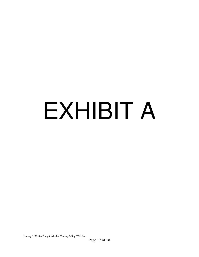# EXHIBIT A

January 1, 2018 – Drug & Alcohol Testing Policy CDL.doc